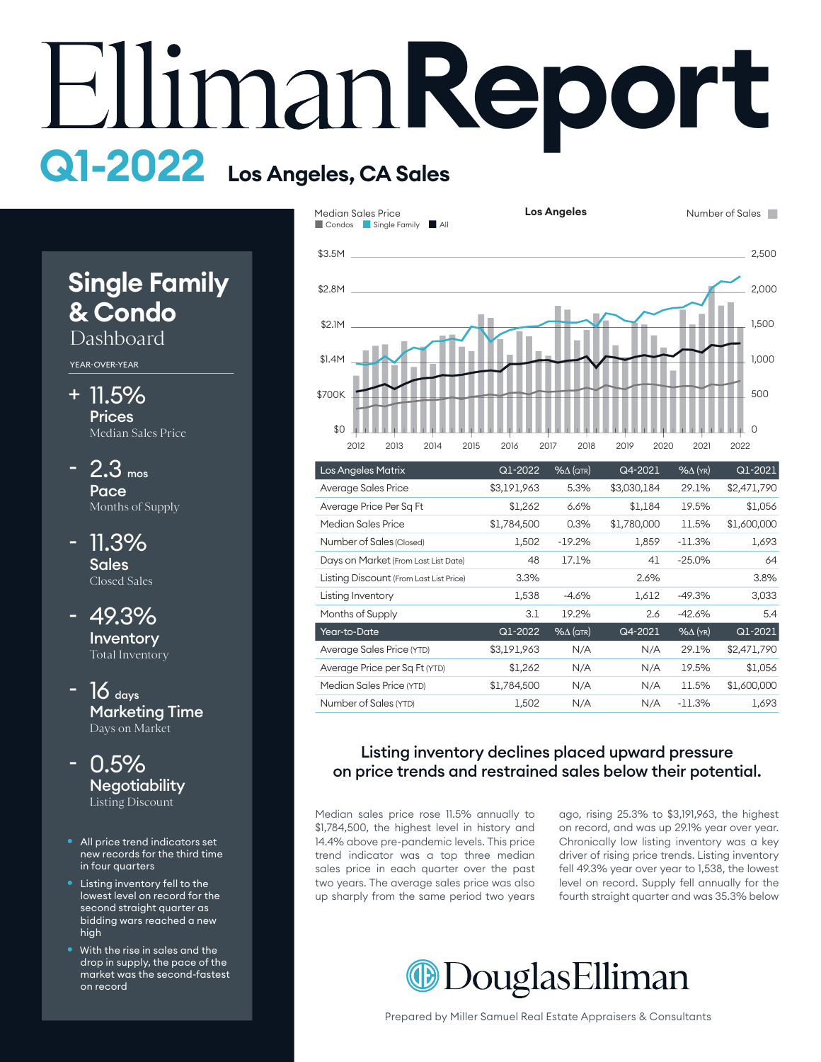# **Report Q1-2022 Los Angeles, CA Sales**

# **Single Family & Condo**

# Dashboard

YEAR-OVER-YEAR

- + 11.5% **Prices** Median Sales Price
- $2.3$  mos Pace Months of Supply -
- 11.3% Sales Closed Sales -

49.3% Inventory Total Inventory -

- $16$  days Marketing Time Days on Market
- $0.5\%$ **Negotiability** Listing Discount -
- All price trend indicators set new records for the third time in four quarters
- Listing inventory fell to the lowest level on record for the second straight quarter as bidding wars reached a new high
- With the rise in sales and the drop in supply, the pace of the market was the second-fastest on record



| <b>Los Angeles Matrix</b>               | $Q1 - 2022$ | $% \triangle (QTR)$ | Q4-2021     | $%$ $\Delta$ (YR) | Q1-2021     |
|-----------------------------------------|-------------|---------------------|-------------|-------------------|-------------|
| Average Sales Price                     | \$3,191,963 | 5.3%                | \$3,030,184 | 29.1%             | \$2,471,790 |
| Average Price Per Sq Ft                 | \$1,262     | 6.6%                | \$1,184     | 19.5%             | \$1,056     |
| Median Sales Price                      | \$1,784,500 | 0.3%                | \$1,780,000 | 11.5%             | \$1,600,000 |
| Number of Sales (Closed)                | 1,502       | $-19.2%$            | 1,859       | $-11.3%$          | 1,693       |
| Days on Market (From Last List Date)    | 48          | 17.1%               | 41          | $-25.0%$          | 64          |
| Listing Discount (From Last List Price) | 3.3%        |                     | 2.6%        |                   | 3.8%        |
| Listing Inventory                       | 1,538       | $-4.6%$             | 1,612       | $-49.3%$          | 3,033       |
| Months of Supply                        | 3.1         | 19.2%               | 2.6         | $-42.6%$          | 5.4         |
| Year-to-Date                            | Q1-2022     | $% \triangle (QTR)$ | Q4-2021     | $%$ $\Delta$ (YR) | Q1-2021     |
| Average Sales Price (YTD)               | \$3,191,963 | N/A                 | N/A         | 29.1%             | \$2,471,790 |
| Average Price per Sq Ft (YTD)           | \$1,262     | N/A                 | N/A         | 19.5%             | \$1,056     |
| Median Sales Price (YTD)                | \$1,784,500 | N/A                 | N/A         | 11.5%             | \$1,600,000 |
| Number of Sales (YTD)                   | 1,502       | N/A                 | N/A         | $-11.3%$          | 1,693       |

#### Listing inventory declines placed upward pressure on price trends and restrained sales below their potential.

Median sales price rose 11.5% annually to \$1,784,500, the highest level in history and 14.4% above pre-pandemic levels. This price trend indicator was a top three median sales price in each quarter over the past two years. The average sales price was also up sharply from the same period two years

ago, rising 25.3% to \$3,191,963, the highest on record, and was up 29.1% year over year. Chronically low listing inventory was a key driver of rising price trends. Listing inventory fell 49.3% year over year to 1,538, the lowest level on record. Supply fell annually for the fourth straight quarter and was 35.3% below

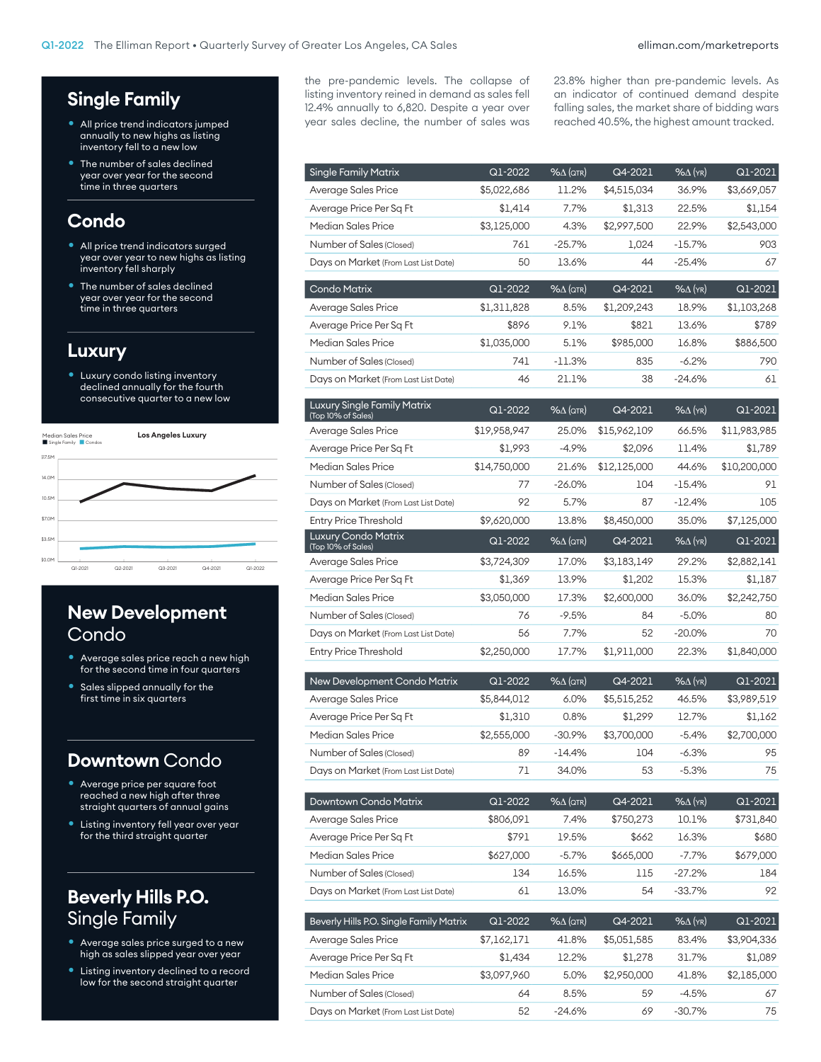# **Single Family**

- All price trend indicators jumped annually to new highs as listing inventory fell to a new low
- The number of sales declined year over year for the second time in three quarters

#### **Condo**

- All price trend indicators surged year over year to new highs as listing inventory fell sharply
- The number of sales declined year over year for the second time in three quarters

#### **Luxury**

Luxury condo listing inventory declined annually for the fourth consecutive quarter to a new low



## **New Development**  Condo

- Average sales price reach a new high for the second time in four quarters
- Sales slipped annually for the first time in six quarters

#### **Downtown** Condo

- Average price per square foot reached a new high after three straight quarters of annual gains
- Listing inventory fell year over year for the third straight quarter

# **Beverly Hills P.O.**  Single Family

- Average sales price surged to a new high as sales slipped year over year
- Listing inventory declined to a record low for the second straight quarter

the pre-pandemic levels. The collapse of listing inventory reined in demand as sales fell 12.4% annually to 6,820. Despite a year over year sales decline, the number of sales was 23.8% higher than pre-pandemic levels. As an indicator of continued demand despite falling sales, the market share of bidding wars reached 40.5%, the highest amount tracked.

| <b>Single Family Matrix</b>                              | Q1-2022                | $% \triangle (QTR)$          | Q4-2021                | $%$ $\Delta$ (YR) | Q1-2021                |
|----------------------------------------------------------|------------------------|------------------------------|------------------------|-------------------|------------------------|
| Average Sales Price                                      | \$5,022,686            | 11.2%                        | \$4,515,034            | 36.9%             | \$3,669,057            |
| Average Price Per Sq Ft                                  | \$1,414                | 7.7%                         | \$1,313                | 22.5%             | \$1,154                |
| Median Sales Price                                       | \$3,125,000            | 4.3%                         | \$2,997,500            | 22.9%             | \$2,543,000            |
| Number of Sales (Closed)                                 | 761                    | -25.7%                       | 1,024                  | -15.7%            | 903                    |
| Days on Market (From Last List Date)                     | 50                     | 13.6%                        | 44                     | -25.4%            | 67                     |
| <b>Condo Matrix</b>                                      | Q1-2022                | %∆ (QTR)                     | Q4-2021                | $%$ $\Delta$ (YR) | Q1-2021                |
| Average Sales Price                                      | \$1,311,828            | 8.5%                         | \$1,209,243            | 18.9%             | \$1,103,268            |
| Average Price Per Sq Ft                                  | \$896                  | 9.1%                         | \$821                  | 13.6%             | \$789                  |
| Median Sales Price                                       | \$1,035,000            | 5.1%                         | \$985,000              | 16.8%             | \$886,500              |
| Number of Sales (Closed)                                 | 741                    | $-11.3\%$                    | 835                    | $-6.2%$           | 790                    |
| Days on Market (From Last List Date)                     | 46                     | 21.1%                        | 38                     | -24.6%            | 61                     |
| <b>Luxury Single Family Matrix</b><br>(Top 10% of Sales) | Q1-2022                | %∆ (атк)                     | Q4-2021                | $%$ $\Delta$ (YR) | Q1-2021                |
| Average Sales Price                                      | \$19,958,947           | 25.0%                        | \$15,962,109           | 66.5%             | \$11,983,985           |
| Average Price Per Sq Ft                                  | \$1,993                | $-4.9%$                      | \$2,096                | 11.4%             | \$1,789                |
| Median Sales Price                                       | \$14,750,000           | 21.6%                        | \$12,125,000           | 44.6%             | \$10,200,000           |
| Number of Sales (Closed)                                 | 77                     | -26.0%                       | 104                    | $-15.4\%$         | 91                     |
| Days on Market (From Last List Date)                     | 92                     | 5.7%                         | 87                     | $-12.4%$          | 105                    |
| <b>Entry Price Threshold</b>                             | \$9,620,000            | 13.8%                        | \$8,450,000            | 35.0%             | \$7,125,000            |
| Luxury Condo Matrix<br>(Top 10% of Sales)                | Q1-2022                | $%$ $\Delta$ (QTR)           | Q4-2021                | $%$ $\Delta$ (YR) | Q1-2021                |
| Average Sales Price                                      | \$3,724,309            | 17.0%                        | \$3,183,149            | 29.2%             | \$2,882,141            |
| Average Price Per Sq Ft                                  | \$1,369                | 13.9%                        | \$1,202                | 15.3%             | \$1,187                |
| Median Sales Price                                       | \$3,050,000            | 17.3%                        | \$2,600,000            | 36.0%             | \$2,242,750            |
| Number of Sales (Closed)                                 | 76                     | $-9.5%$                      | 84                     | $-5.0\%$          | 80                     |
| Days on Market (From Last List Date)                     | 56                     | 7.7%                         | 52                     | -20.0%            | 70                     |
| <b>Entry Price Threshold</b>                             | \$2,250,000            | 17.7%                        | \$1,911,000            | 22.3%             | \$1,840,000            |
| New Development Condo Matrix                             | Q1-2022                | $%$ $\Delta$ (QTR)           | Q4-2021                | $%$ $\Delta$ (YR) | Q1-2021                |
| Average Sales Price                                      | \$5,844,012            | 6.0%                         | \$5,515,252            | 46.5%             | \$3,989,519            |
| Average Price Per Sq Ft                                  | \$1,310                | 0.8%                         | \$1,299                | 12.7%             | \$1,162                |
| Median Sales Price                                       | \$2,555,000            | $-30.9%$                     | \$3,700,000            | $-5.4%$           | \$2,700,000            |
| Number of Sales (Closed)                                 | 89                     | $-14.4%$                     | 104                    | $-6.3%$           | 95                     |
| Days on Market (From Last List Date)                     | 71                     | 34.0%                        | 53                     | $-5.3%$           | 75                     |
| Downtown Condo Matrix                                    | Q1-2022                | $% \triangle (QTR)$          | Q4-2021                | $% \Delta$ (YR)   | Q1-2021                |
| Average Sales Price                                      | \$806,091              | 7.4%                         | \$750,273              | 10.1%             | \$731,840              |
| Average Price Per Sq Ft                                  | \$791                  | 19.5%                        | \$662                  | 16.3%             | \$680                  |
| <b>Median Sales Price</b>                                | \$627,000              | $-5.7\%$                     | \$665,000              | $-7.7%$           | \$679,000              |
| Number of Sales (Closed)                                 | 134                    | 16.5%                        | 115                    | -27.2%            | 184                    |
| Days on Market (From Last List Date)                     | 61                     | 13.0%                        | 54                     | -33.7%            | 92                     |
| Beverly Hills P.O. Single Family Matrix                  |                        |                              |                        |                   |                        |
|                                                          | Q1-2022                | $% \triangle (QTR)$<br>41.8% | Q4-2021                | % $\Delta$ (YR)   | Q1-2021                |
| Average Sales Price<br>Average Price Per Sq Ft           | \$7,162,171<br>\$1,434 | 12.2%                        | \$5,051,585<br>\$1,278 | 83.4%<br>31.7%    | \$3,904,336<br>\$1,089 |
| <b>Median Sales Price</b>                                | \$3,097,960            | 5.0%                         | \$2,950,000            | 41.8%             | \$2,185,000            |
| Number of Sales (Closed)                                 | 64                     | 8.5%                         | 59                     | $-4.5%$           | 67                     |
| Days on Market (From Last List Date)                     | 52                     | -24.6%                       | 69                     | -30.7%            | 75                     |
|                                                          |                        |                              |                        |                   |                        |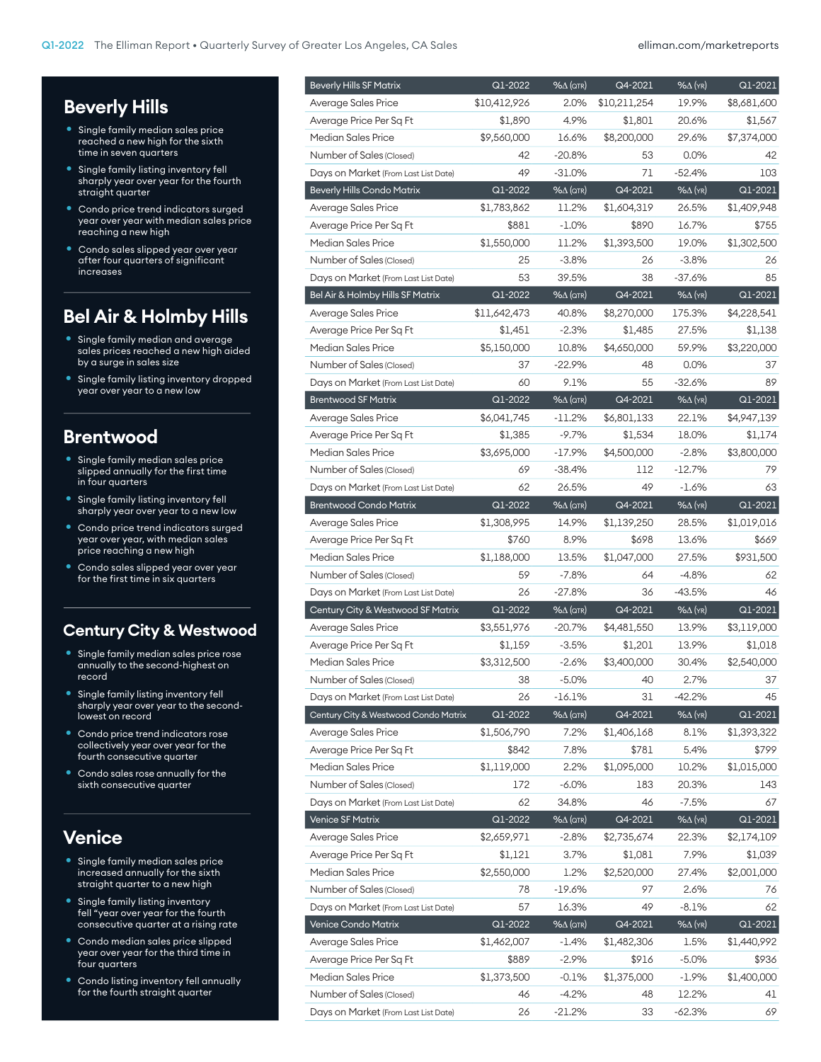# **Beverly Hills**

- Single family median sales price reached a new high for the sixth time in seven quarters
- Single family listing inventory fell sharply year over year for the fourth straight quarter
- **Condo price trend indicators surged** year over year with median sales price reaching a new high
- Condo sales slipped year over year after four quarters of significant increases

## **Bel Air & Holmby Hills**

- Single family median and average sales prices reached a new high aided by a surge in sales size
- Single family listing inventory dropped year over year to a new low

#### **Brentwood**

- Single family median sales price slipped annually for the first time in four quarters
- Single family listing inventory fell sharply year over year to a new low
- Condo price trend indicators surged year over year, with median sales price reaching a new high
- Condo sales slipped year over year for the first time in six quarters

#### **Century City & Westwood**

- Single family median sales price rose annually to the second-highest on record
- Single family listing inventory fell sharply year over year to the secondlowest on record
- Condo price trend indicators rose collectively year over year for the fourth consecutive quarter
- Condo sales rose annually for the sixth consecutive quarter

#### **Venice**

- Single family median sales price increased annually for the sixth straight quarter to a new high
- Single family listing inventory fell "year over year for the fourth consecutive quarter at a rising rate
- Condo median sales price slipped year over year for the third time in four quarters
- Condo listing inventory fell annually for the fourth straight quarter

| <b>Beverly Hills SF Matrix</b>       | $Q1 - 2022$  | $% \triangle (QTR)$          | Q4-2021      | $%$ $\Delta$ (YR)          | Q1-2021     |
|--------------------------------------|--------------|------------------------------|--------------|----------------------------|-------------|
| Average Sales Price                  | \$10,412,926 | 2.0%                         | \$10,211,254 | 19.9%                      | \$8,681,600 |
| Average Price Per Sq Ft              | \$1,890      | 4.9%                         | \$1,801      | 20.6%                      | \$1,567     |
| <b>Median Sales Price</b>            | \$9,560,000  | 16.6%                        | \$8,200,000  | 29.6%                      | \$7,374,000 |
| Number of Sales (Closed)             | 42           | $-20.8%$                     | 53           | 0.0%                       | 42          |
| Days on Market (From Last List Date) | 49           | -31.0%                       | 71           | $-52.4%$                   | 103         |
| <b>Beverly Hills Condo Matrix</b>    | Q1-2022      | $\frac{96}{4}$ (QTR)         | Q4-2021      | $% \Delta$ (YR)            | Q1-2021     |
| Average Sales Price                  | \$1,783,862  | 11.2%                        | \$1,604,319  | 26.5%                      | \$1,409,948 |
| Average Price Per Sq Ft              | \$881        | $-1.0\%$                     | \$890        | 16.7%                      | \$755       |
| Median Sales Price                   | \$1,550,000  | 11.2%                        | \$1,393,500  | 19.0%                      | \$1,302,500 |
| Number of Sales (Closed)             | 25           | $-3.8%$                      | 26           | $-3.8%$                    | 26          |
| Days on Market (From Last List Date) | 53           | 39.5%                        | 38           | $-37.6%$                   | 85          |
| Bel Air & Holmby Hills SF Matrix     | Q1-2022      | $% \triangle (QTR)$          | Q4-2021      | $% \Delta$ (YR)            | Q1-2021     |
| Average Sales Price                  | \$11,642,473 | 40.8%                        | \$8,270,000  | 175.3%                     | \$4,228,541 |
| Average Price Per Sq Ft              | \$1,451      | $-2.3%$                      | \$1,485      | 27.5%                      | \$1,138     |
| <b>Median Sales Price</b>            | \$5,150,000  | 10.8%                        | \$4,650,000  | 59.9%                      | \$3,220,000 |
| Number of Sales (Closed)             | 37           | $-22.9%$                     | 48           | $0.0\%$                    | 37          |
| Days on Market (From Last List Date) | 60           | 9.1%                         | 55           | $-32.6%$                   | 89          |
| <b>Brentwood SF Matrix</b>           | Q1-2022      | $% \triangle (QTR)$          | Q4-2021      | $\sqrt{8\Delta(\gamma R)}$ | Q1-2021     |
| Average Sales Price                  | \$6,041,745  | $-11.2\%$                    | \$6,801,133  | 22.1%                      | \$4,947,139 |
| Average Price Per Sq Ft              | \$1,385      | $-9.7%$                      | \$1,534      | 18.0%                      | \$1,174     |
| <b>Median Sales Price</b>            | \$3,695,000  | $-17.9\%$                    | \$4,500,000  | $-2.8%$                    | \$3,800,000 |
| Number of Sales (Closed)             | 69           | $-38.4%$                     | 112          | $-12.7%$                   | 79          |
| Days on Market (From Last List Date) | 62           | 26.5%                        | 49           | $-1.6%$                    | 63          |
| <b>Brentwood Condo Matrix</b>        | Q1-2022      | $\sqrt{2\Delta(\text{QTR})}$ | Q4-2021      | $\sqrt{8\Delta(\gamma R)}$ | Q1-2021     |
| Average Sales Price                  | \$1,308,995  | 14.9%                        | \$1,139,250  | 28.5%                      | \$1,019,016 |
| Average Price Per Sq Ft              | \$760        | 8.9%                         | \$698        | 13.6%                      | \$669       |
| <b>Median Sales Price</b>            | \$1,188,000  | 13.5%                        | \$1,047,000  | 27.5%                      | \$931,500   |
| Number of Sales (Closed)             | 59           | $-7.8%$                      | 64           | $-4.8%$                    | 62          |
| Days on Market (From Last List Date) | 26           | $-27.8%$                     | 36           | $-43.5%$                   | 46          |
| Century City & Westwood SF Matrix    | Q1-2022      | $% \triangle (QTR)$          | Q4-2021      | $\sqrt{2\Delta(YR)}$       | Q1-2021     |
| Average Sales Price                  | \$3,551,976  | $-20.7%$                     | \$4,481,550  | 13.9%                      | \$3,119,000 |
| Average Price Per Sq Ft              | \$1,159      | $-3.5%$                      | \$1,201      | 13.9%                      | \$1,018     |
| Median Sales Price                   | \$3,312,500  | $-2.6%$                      | \$3,400,000  | 30.4%                      | \$2,540,000 |
| Number of Sales (Closed)             | 38           | $-5.0%$                      | 40           | 2.7%                       | 37          |
| Days on Market (From Last List Date) | 26           | -16.1%                       | 31           | $-42.2%$                   | 45          |
| Century City & Westwood Condo Matrix | Q1-2022      | 96Д (QTR)                    | Q4-2021      | $\sqrt{\Delta(YR)}$        | Q1-2021     |
| Average Sales Price                  | \$1,506,790  | 7.2%                         | \$1,406,168  | 8.1%                       | \$1,393,322 |
| Average Price Per Sq Ft              | \$842        | 7.8%                         | \$781        | 5.4%                       | \$799       |
| <b>Median Sales Price</b>            | \$1,119,000  | 2.2%                         | \$1,095,000  | 10.2%                      | \$1,015,000 |
| Number of Sales (Closed)             | 172          | $-6.0\%$                     | 183          | 20.3%                      | 143         |
| Days on Market (From Last List Date) | 62           | 34.8%                        | 46           | $-7.5%$                    | 67          |
| <b>Venice SF Matrix</b>              | Q1-2022      | $% \triangle (QTR)$          | Q4-2021      | $% \Delta$ (YR)            | Q1-2021     |
| Average Sales Price                  | \$2,659,971  | $-2.8%$                      | \$2,735,674  | 22.3%                      | \$2,174,109 |
| Average Price Per Sq Ft              | \$1,121      | 3.7%                         | \$1,081      | 7.9%                       | \$1,039     |
| <b>Median Sales Price</b>            | \$2,550,000  | 1.2%                         | \$2,520,000  | 27.4%                      | \$2,001,000 |
| Number of Sales (Closed)             | 78           | -19.6%                       | 97           | 2.6%                       | 76          |
| Days on Market (From Last List Date) | 57           | 16.3%                        | 49           | $-8.1%$                    | 62          |
| Venice Condo Matrix                  | Q1-2022      | $% \triangle (QTR)$          | Q4-2021      | $% \Delta$ (YR)            | Q1-2021     |
| Average Sales Price                  | \$1,462,007  | $-1.4\%$                     | \$1,482,306  | 1.5%                       | \$1,440,992 |
| Average Price Per Sq Ft              | \$889        | $-2.9%$                      | \$916        | $-5.0%$                    | \$936       |
| Median Sales Price                   | \$1,373,500  | $-0.1\%$                     | \$1,375,000  | $-1.9\%$                   | \$1,400,000 |
| Number of Sales (Closed)             | 46           | $-4.2%$                      | 48           | 12.2%                      | 41          |
| Days on Market (From Last List Date) | 26           | $-21.2%$                     | 33           | $-62.3%$                   | 69          |